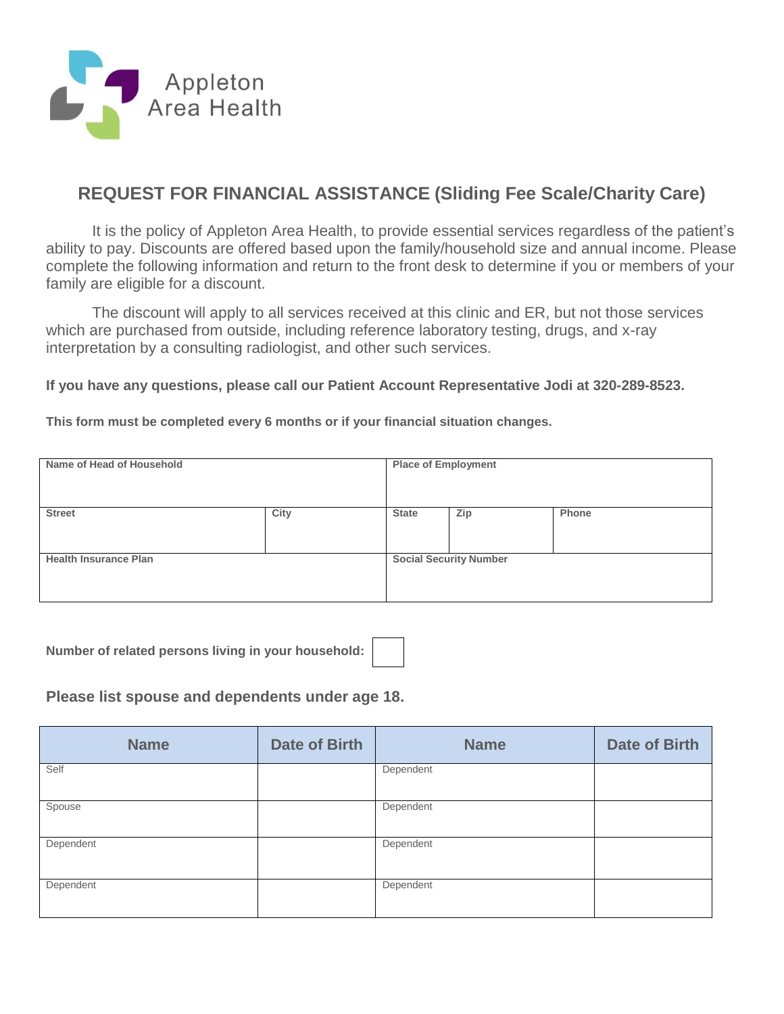

# **REQUEST FOR FINANCIAL ASSISTANCE (Sliding Fee Scale/Charity Care)**

It is the policy of Appleton Area Health, to provide essential services regardless of the patient's ability to pay. Discounts are offered based upon the family/household size and annual income. Please complete the following information and return to the front desk to determine if you or members of your family are eligible for a discount.

The discount will apply to all services received at this clinic and ER, but not those services which are purchased from outside, including reference laboratory testing, drugs, and x-ray interpretation by a consulting radiologist, and other such services.

**If you have any questions, please call our Patient Account Representative Jodi at 320-289-8523.**

**This form must be completed every 6 months or if your financial situation changes.**

| Name of Head of Household    |      | <b>Place of Employment</b>    |     |       |
|------------------------------|------|-------------------------------|-----|-------|
| <b>Street</b>                | City | <b>State</b>                  | Zip | Phone |
| <b>Health Insurance Plan</b> |      | <b>Social Security Number</b> |     |       |

**Number of related persons living in your household:** 



**Please list spouse and dependents under age 18.**

| <b>Name</b> | <b>Date of Birth</b> | <b>Name</b> | <b>Date of Birth</b> |
|-------------|----------------------|-------------|----------------------|
| Self        |                      | Dependent   |                      |
| Spouse      |                      | Dependent   |                      |
| Dependent   |                      | Dependent   |                      |
| Dependent   |                      | Dependent   |                      |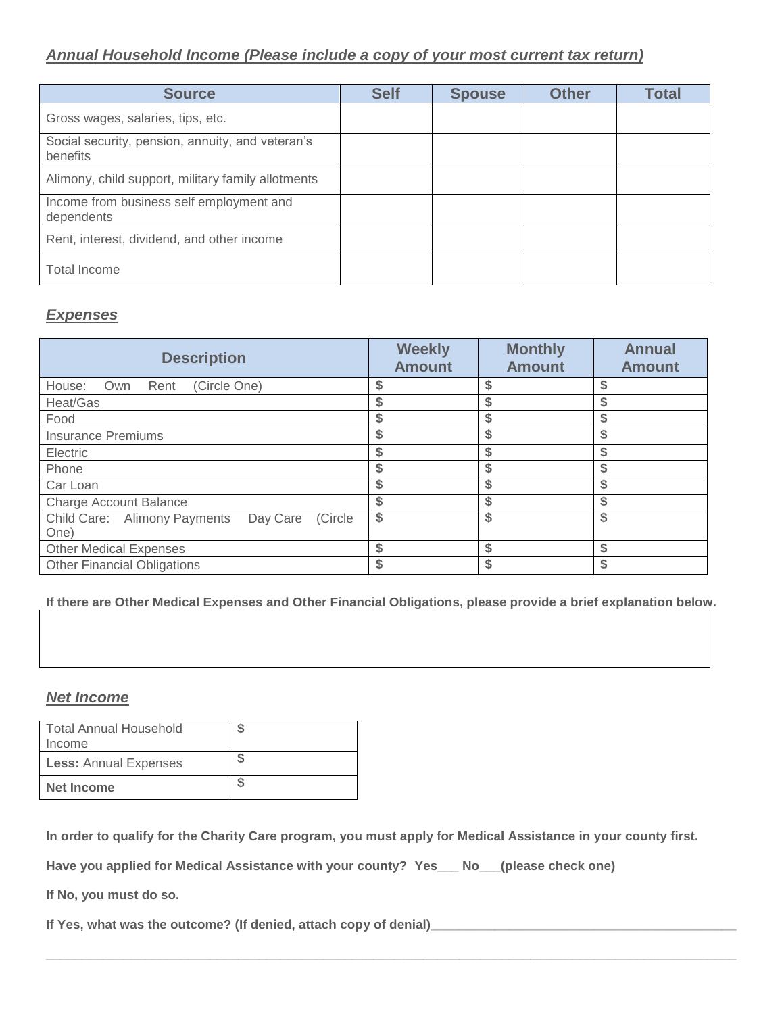## *Annual Household Income (Please include a copy of your most current tax return)*

| <b>Source</b>                                                | <b>Self</b> | <b>Spouse</b> | <b>Other</b> | <b>Total</b> |
|--------------------------------------------------------------|-------------|---------------|--------------|--------------|
| Gross wages, salaries, tips, etc.                            |             |               |              |              |
| Social security, pension, annuity, and veteran's<br>benefits |             |               |              |              |
| Alimony, child support, military family allotments           |             |               |              |              |
| Income from business self employment and<br>dependents       |             |               |              |              |
| Rent, interest, dividend, and other income                   |             |               |              |              |
| <b>Total Income</b>                                          |             |               |              |              |

## *Expenses*

| <b>Description</b>                                  | <b>Weekly</b><br><b>Amount</b> | <b>Monthly</b><br><b>Amount</b> | <b>Annual</b><br><b>Amount</b> |
|-----------------------------------------------------|--------------------------------|---------------------------------|--------------------------------|
| (Circle One)<br>House:<br>Own<br>Rent               |                                |                                 |                                |
| Heat/Gas                                            |                                | \$                              |                                |
| Food                                                | \$                             | \$                              |                                |
| <b>Insurance Premiums</b>                           |                                | \$                              |                                |
| Electric                                            |                                |                                 |                                |
| Phone                                               |                                | \$                              |                                |
| Car Loan                                            | \$                             | \$                              |                                |
| <b>Charge Account Balance</b>                       | \$                             | \$                              |                                |
| Day Care<br>Child Care: Alimony Payments<br>(Circle | \$                             | \$                              |                                |
| One)                                                |                                |                                 |                                |
| <b>Other Medical Expenses</b>                       | \$                             | \$                              |                                |
| <b>Other Financial Obligations</b>                  | \$                             | \$                              |                                |

**If there are Other Medical Expenses and Other Financial Obligations, please provide a brief explanation below.**

#### *Net Income*

| <b>Total Annual Household</b><br>Income |  |
|-----------------------------------------|--|
| <b>Less: Annual Expenses</b>            |  |
| Net Income                              |  |

**In order to qualify for the Charity Care program, you must apply for Medical Assistance in your county first.**

**\_\_\_\_\_\_\_\_\_\_\_\_\_\_\_\_\_\_\_\_\_\_\_\_\_\_\_\_\_\_\_\_\_\_\_\_\_\_\_\_\_\_\_\_\_\_\_\_\_\_\_\_\_\_\_\_\_\_\_\_\_\_\_\_\_\_\_\_\_\_\_\_\_\_\_\_\_\_\_\_\_\_\_\_\_\_\_\_\_\_\_\_\_\_\_\_\_**

**Have you applied for Medical Assistance with your county? Yes\_\_\_ No\_\_\_(please check one)**

**If No, you must do so.**

If Yes, what was the outcome? (If denied, attach copy of denial) **The analyzed areas and the set of the set of the set of the set of the set of the set of the set of the set of the set of the set of the set of the set of t**